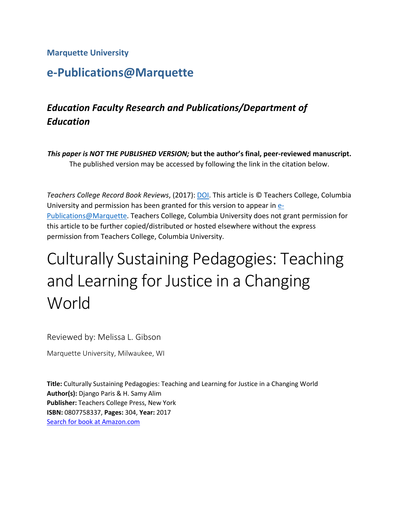**Marquette University**

## **e-Publications@Marquette**

## *Education Faculty Research and Publications/Department of Education*

*This paper is NOT THE PUBLISHED VERSION;* **but the author's final, peer-reviewed manuscript.**  The published version may be accessed by following the link in the citation below.

*Teachers College Record Book Reviews*, (2017): [DOI.](https://www.tcrecord.org/books/Content.asp?ContentId=22141) This article is © Teachers College, Columbia University and permission has been granted for this version to appear in [e-](http://epublications.marquette.edu/)[Publications@Marquette.](http://epublications.marquette.edu/) Teachers College, Columbia University does not grant permission for this article to be further copied/distributed or hosted elsewhere without the express permission from Teachers College, Columbia University.

## Culturally Sustaining Pedagogies: Teaching and Learning for Justice in a Changing World

Reviewed by: Melissa L. Gibson

Marquette University, Milwaukee, WI

**Title:** Culturally Sustaining Pedagogies: Teaching and Learning for Justice in a Changing World **Author(s):** Django Paris & H. Samy Alim **Publisher:** Teachers College Press, New York **ISBN:** 0807758337, **Pages:** 304, **Year:** 2017 [Search for book at Amazon.com](http://www.amazon.com/exec/obidos/ASIN/0807758337/teacherscolleger)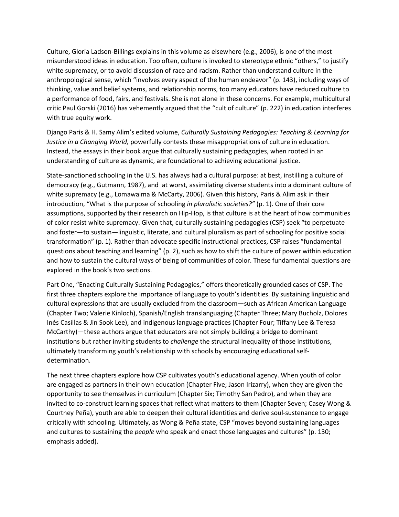Culture, Gloria Ladson-Billings explains in this volume as elsewhere (e.g., 2006), is one of the most misunderstood ideas in education. Too often, culture is invoked to stereotype ethnic "others," to justify white supremacy, or to avoid discussion of race and racism. Rather than understand culture in the anthropological sense, which "involves every aspect of the human endeavor" (p. 143), including ways of thinking, value and belief systems, and relationship norms, too many educators have reduced culture to a performance of food, fairs, and festivals. She is not alone in these concerns. For example, multicultural critic Paul Gorski (2016) has vehemently argued that the "cult of culture" (p. 222) in education interferes with true equity work.

Django Paris & H. Samy Alim's edited volume, *Culturally Sustaining Pedagogies: Teaching & Learning for Justice in a Changing World,* powerfully contests these misappropriations of culture in education. Instead, the essays in their book argue that culturally sustaining pedagogies, when rooted in an understanding of culture as dynamic, are foundational to achieving educational justice.

State-sanctioned schooling in the U.S. has always had a cultural purpose: at best, instilling a culture of democracy (e.g., Gutmann, 1987), and at worst, assimilating diverse students into a dominant culture of white supremacy (e.g., Lomawaima & McCarty, 2006). Given this history, Paris & Alim ask in their introduction, "What is the purpose of schooling *in pluralistic societies?"* (p. 1). One of their core assumptions, supported by their research on Hip-Hop, is that culture is at the heart of how communities of color resist white supremacy. Given that, culturally sustaining pedagogies (CSP) seek "to perpetuate and foster—to sustain—linguistic, literate, and cultural pluralism as part of schooling for positive social transformation" (p. 1). Rather than advocate specific instructional practices, CSP raises "fundamental questions about teaching and learning" (p. 2), such as how to shift the culture of power within education and how to sustain the cultural ways of being of communities of color. These fundamental questions are explored in the book's two sections.

Part One, "Enacting Culturally Sustaining Pedagogies," offers theoretically grounded cases of CSP. The first three chapters explore the importance of language to youth's identities. By sustaining linguistic and cultural expressions that are usually excluded from the classroom—such as African American Language (Chapter Two; Valerie Kinloch), Spanish/English translanguaging (Chapter Three; Mary Bucholz, Dolores Inés Casillas & Jin Sook Lee), and indigenous language practices (Chapter Four; Tiffany Lee & Teresa McCarthy)—these authors argue that educators are not simply building a bridge to dominant institutions but rather inviting students to *challenge* the structural inequality of those institutions, ultimately transforming youth's relationship with schools by encouraging educational selfdetermination.

The next three chapters explore how CSP cultivates youth's educational agency. When youth of color are engaged as partners in their own education (Chapter Five; Jason Irizarry), when they are given the opportunity to see themselves in curriculum (Chapter Six; Timothy San Pedro), and when they are invited to co-construct learning spaces that reflect what matters to them (Chapter Seven; Casey Wong & Courtney Peña), youth are able to deepen their cultural identities and derive soul-sustenance to engage critically with schooling. Ultimately, as Wong & Peña state, CSP "moves beyond sustaining languages and cultures to sustaining the *people* who speak and enact those languages and cultures" (p. 130; emphasis added).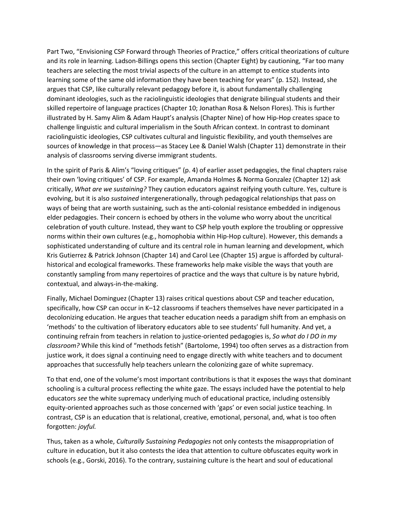Part Two, "Envisioning CSP Forward through Theories of Practice," offers critical theorizations of culture and its role in learning. Ladson-Billings opens this section (Chapter Eight) by cautioning, "Far too many teachers are selecting the most trivial aspects of the culture in an attempt to entice students into learning some of the same old information they have been teaching for years" (p. 152). Instead, she argues that CSP, like culturally relevant pedagogy before it, is about fundamentally challenging dominant ideologies, such as the raciolinguistic ideologies that denigrate bilingual students and their skilled repertoire of language practices (Chapter 10; Jonathan Rosa & Nelson Flores). This is further illustrated by H. Samy Alim & Adam Haupt's analysis (Chapter Nine) of how Hip-Hop creates space to challenge linguistic and cultural imperialism in the South African context. In contrast to dominant raciolinguistic ideologies, CSP cultivates cultural and linguistic flexibility, and youth themselves are sources of knowledge in that process—as Stacey Lee & Daniel Walsh (Chapter 11) demonstrate in their analysis of classrooms serving diverse immigrant students.

In the spirit of Paris & Alim's "loving critiques" (p. 4) of earlier asset pedagogies, the final chapters raise their own 'loving critiques' of CSP. For example, Amanda Holmes & Norma Gonzalez (Chapter 12) ask critically, *What are we sustaining?* They caution educators against reifying youth culture. Yes, culture is evolving, but it is also *sustained* intergenerationally, through pedagogical relationships that pass on ways of being that are worth sustaining, such as the anti-colonial resistance embedded in indigenous elder pedagogies. Their concern is echoed by others in the volume who worry about the uncritical celebration of youth culture. Instead, they want to CSP help youth explore the troubling or oppressive norms within their own cultures (e.g., homophobia within Hip-Hop culture). However, this demands a sophisticated understanding of culture and its central role in human learning and development, which Kris Gutierrez & Patrick Johnson (Chapter 14) and Carol Lee (Chapter 15) argue is afforded by culturalhistorical and ecological frameworks. These frameworks help make visible the ways that youth are constantly sampling from many repertoires of practice and the ways that culture is by nature hybrid, contextual, and always-in-the-making.

Finally, Michael Dominguez (Chapter 13) raises critical questions about CSP and teacher education, specifically, how CSP can occur in K–12 classrooms if teachers themselves have never participated in a decolonizing education. He argues that teacher education needs a paradigm shift from an emphasis on 'methods' to the cultivation of liberatory educators able to see students' full humanity. And yet, a continuing refrain from teachers in relation to justice-oriented pedagogies is, *So what do I DO in my classroom?* While this kind of "methods fetish" (Bartolome, 1994) too often serves as a distraction from justice work, it does signal a continuing need to engage directly with white teachers and to document approaches that successfully help teachers unlearn the colonizing gaze of white supremacy.

To that end, one of the volume's most important contributions is that it exposes the ways that dominant schooling is a cultural process reflecting the white gaze. The essays included have the potential to help educators *see* the white supremacy underlying much of educational practice, including ostensibly equity-oriented approaches such as those concerned with 'gaps' or even social justice teaching. In contrast, CSP is an education that is relational, creative, emotional, personal, and, what is too often forgotten: *joyful.*

Thus, taken as a whole, *Culturally Sustaining Pedagogies* not only contests the misappropriation of culture in education, but it also contests the idea that attention to culture obfuscates equity work in schools (e.g., Gorski, 2016). To the contrary, sustaining culture is the heart and soul of educational